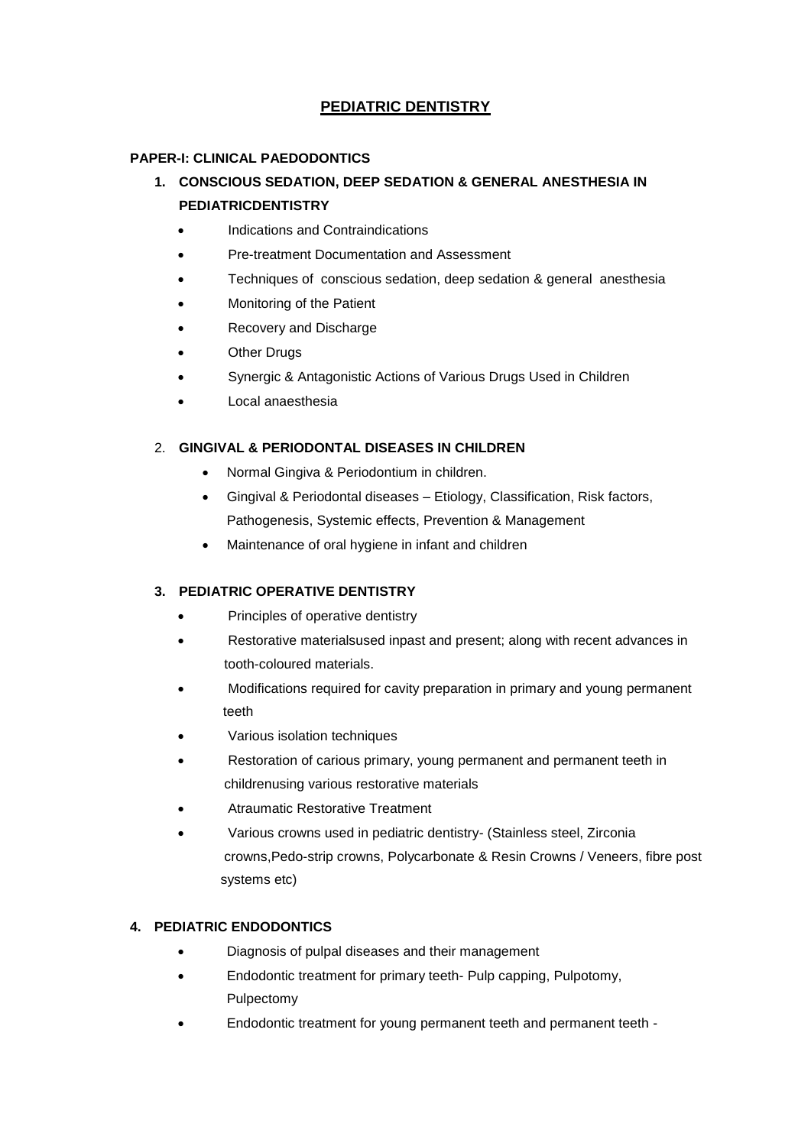## **PEDIATRIC DENTISTRY**

### **PAPER-I: CLINICAL PAEDODONTICS**

# **1. CONSCIOUS SEDATION, DEEP SEDATION & GENERAL ANESTHESIA IN PEDIATRICDENTISTRY**

- Indications and Contraindications
- Pre-treatment Documentation and Assessment
- Techniques of conscious sedation, deep sedation & general anesthesia
- Monitoring of the Patient
- Recovery and Discharge
- Other Drugs
- Synergic & Antagonistic Actions of Various Drugs Used in Children
- Local anaesthesia

### 2. **GINGIVAL & PERIODONTAL DISEASES IN CHILDREN**

- Normal Gingiva & Periodontium in children.
- Gingival & Periodontal diseases Etiology, Classification, Risk factors, Pathogenesis, Systemic effects, Prevention & Management
- Maintenance of oral hygiene in infant and children

### **3. PEDIATRIC OPERATIVE DENTISTRY**

- Principles of operative dentistry
- Restorative materialsused inpast and present; along with recent advances in tooth-coloured materials.
- Modifications required for cavity preparation in primary and young permanent teeth
- Various isolation techniques
- Restoration of carious primary, young permanent and permanent teeth in childrenusing various restorative materials
- Atraumatic Restorative Treatment
- Various crowns used in pediatric dentistry- (Stainless steel, Zirconia crowns,Pedo-strip crowns, Polycarbonate & Resin Crowns / Veneers, fibre post systems etc)

### **4. PEDIATRIC ENDODONTICS**

- Diagnosis of pulpal diseases and their management
- Endodontic treatment for primary teeth- Pulp capping, Pulpotomy, Pulpectomy
- Endodontic treatment for young permanent teeth and permanent teeth -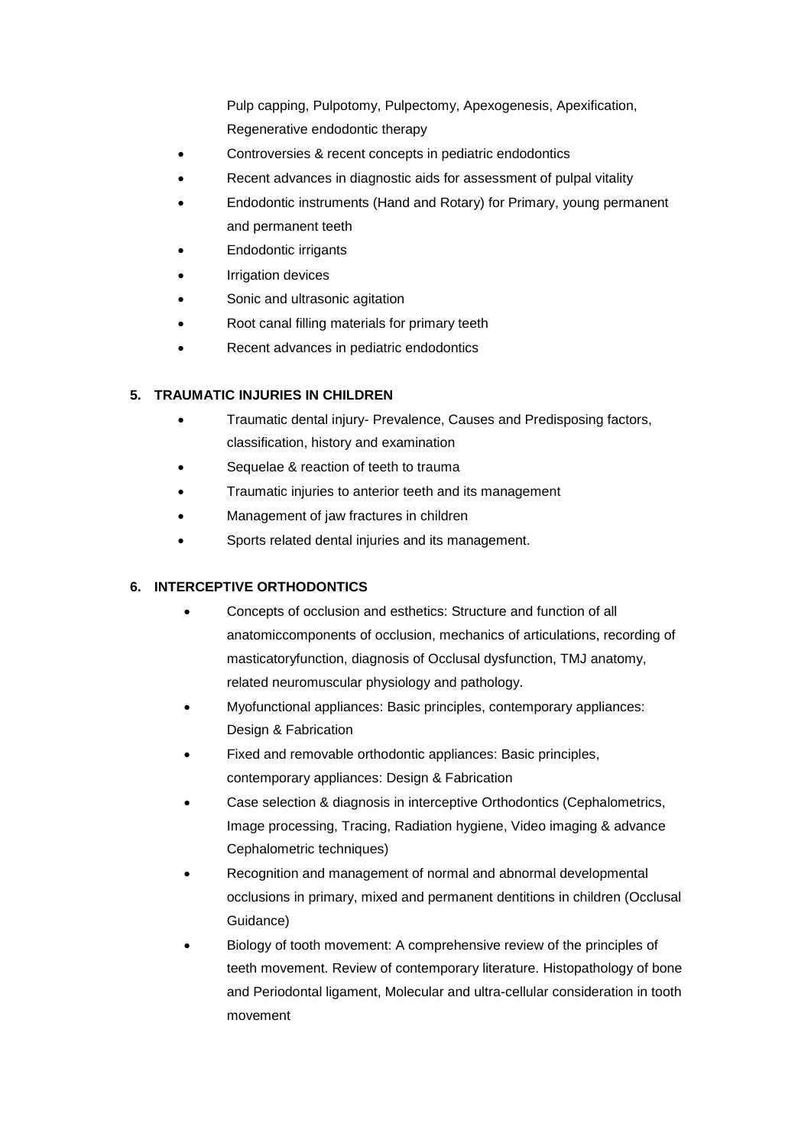Pulp capping, Pulpotomy, Pulpectomy, Apexogenesis, Apexification, Regenerative endodontic therapy

- Controversies & recent concepts in pediatric endodontics
- Recent advances in diagnostic aids for assessment of pulpal vitality
- Endodontic instruments (Hand and Rotary) for Primary, young permanent and permanent teeth
- Endodontic irrigants
- Irrigation devices
- Sonic and ultrasonic agitation
- Root canal filling materials for primary teeth
- Recent advances in pediatric endodontics

### **5. TRAUMATIC INJURIES IN CHILDREN**

- Traumatic dental injury- Prevalence, Causes and Predisposing factors, classification, history and examination
- Sequelae & reaction of teeth to trauma
- Traumatic injuries to anterior teeth and its management
- Management of jaw fractures in children
- Sports related dental injuries and its management.

### **6. INTERCEPTIVE ORTHODONTICS**

- Concepts of occlusion and esthetics: Structure and function of all anatomiccomponents of occlusion, mechanics of articulations, recording of masticatoryfunction, diagnosis of Occlusal dysfunction, TMJ anatomy, related neuromuscular physiology and pathology.
- Myofunctional appliances: Basic principles, contemporary appliances: Design & Fabrication
- Fixed and removable orthodontic appliances: Basic principles, contemporary appliances: Design & Fabrication
- Case selection & diagnosis in interceptive Orthodontics (Cephalometrics, Image processing, Tracing, Radiation hygiene, Video imaging & advance Cephalometric techniques)
- Recognition and management of normal and abnormal developmental occlusions in primary, mixed and permanent dentitions in children (Occlusal Guidance)
- Biology of tooth movement: A comprehensive review of the principles of teeth movement. Review of contemporary literature. Histopathology of bone and Periodontal ligament, Molecular and ultra-cellular consideration in tooth movement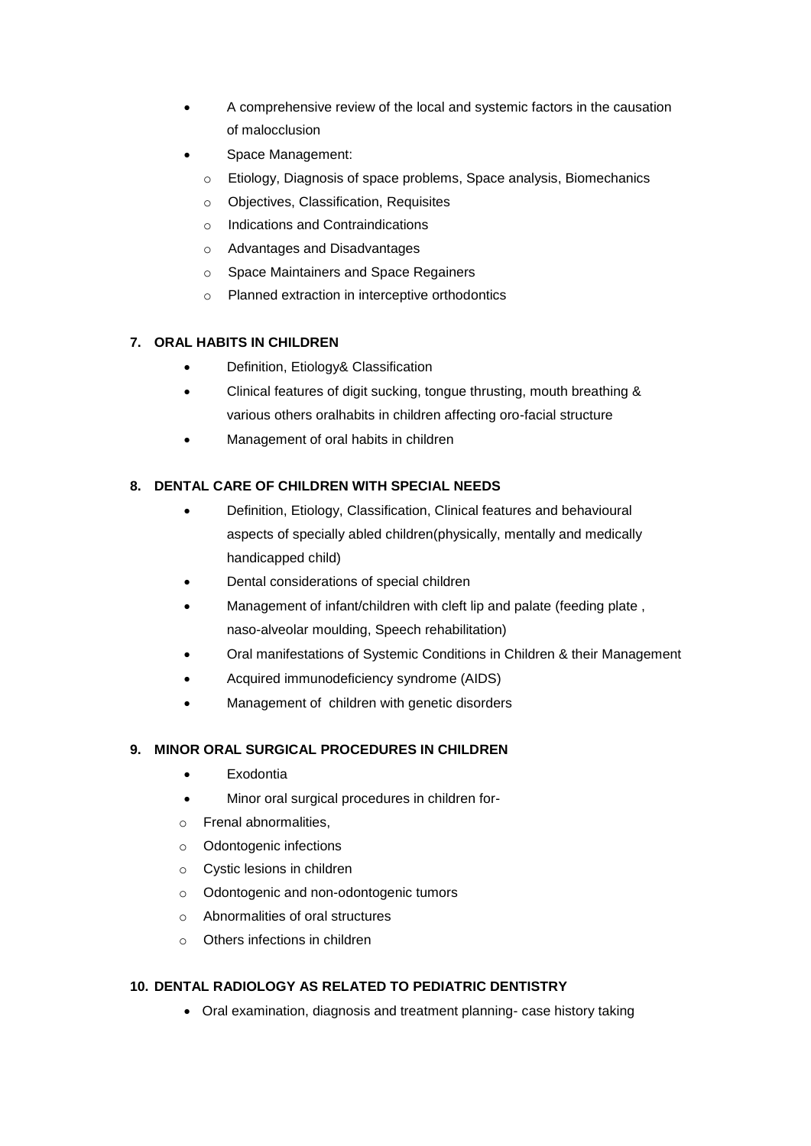- A comprehensive review of the local and systemic factors in the causation of malocclusion
- Space Management:
	- o Etiology, Diagnosis of space problems, Space analysis, Biomechanics
	- o Objectives, Classification, Requisites
	- o Indications and Contraindications
	- o Advantages and Disadvantages
	- o Space Maintainers and Space Regainers
	- o Planned extraction in interceptive orthodontics

### **7. ORAL HABITS IN CHILDREN**

- Definition, Etiology& Classification
- Clinical features of digit sucking, tongue thrusting, mouth breathing & various others oralhabits in children affecting oro-facial structure
- Management of oral habits in children

### **8. DENTAL CARE OF CHILDREN WITH SPECIAL NEEDS**

- Definition, Etiology, Classification, Clinical features and behavioural aspects of specially abled children(physically, mentally and medically handicapped child)
- Dental considerations of special children
- Management of infant/children with cleft lip and palate (feeding plate , naso-alveolar moulding, Speech rehabilitation)
- Oral manifestations of Systemic Conditions in Children & their Management
- Acquired immunodeficiency syndrome (AIDS)
- Management of children with genetic disorders

### **9. MINOR ORAL SURGICAL PROCEDURES IN CHILDREN**

- Exodontia
- Minor oral surgical procedures in children for-
- o Frenal abnormalities,
- o Odontogenic infections
- o Cystic lesions in children
- o Odontogenic and non-odontogenic tumors
- o Abnormalities of oral structures
- o Others infections in children

### **10. DENTAL RADIOLOGY AS RELATED TO PEDIATRIC DENTISTRY**

Oral examination, diagnosis and treatment planning- case history taking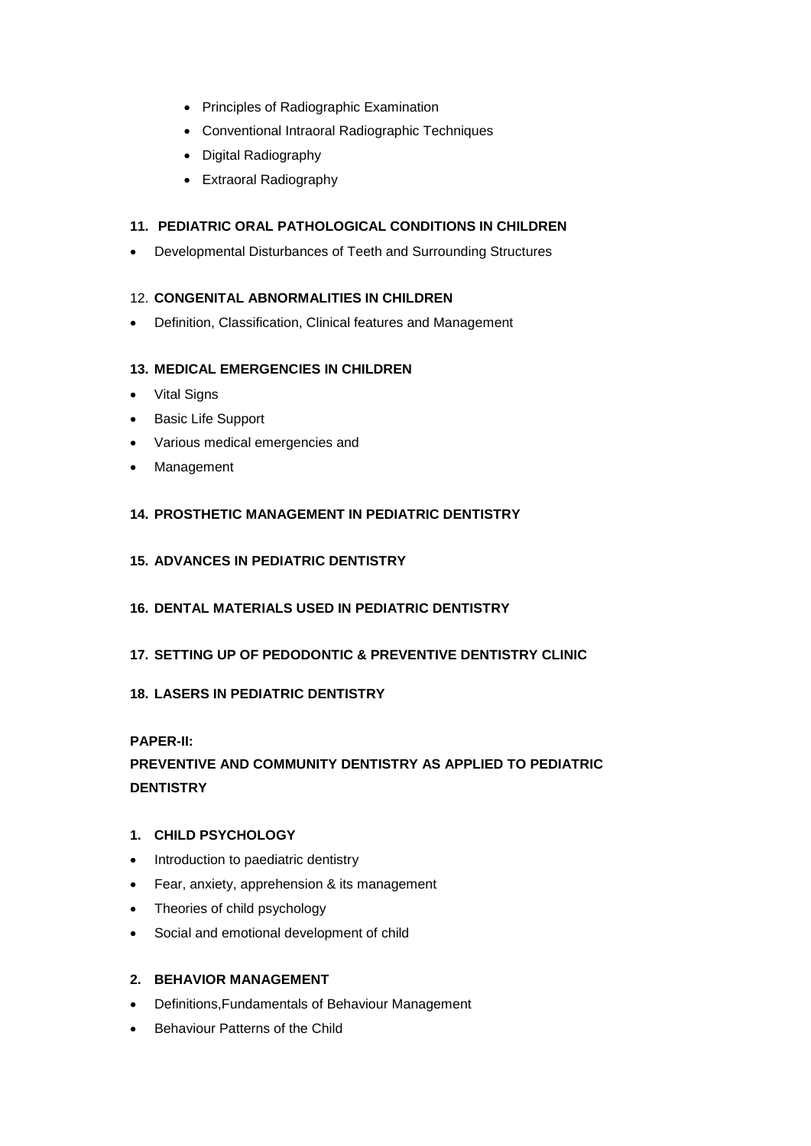- Principles of Radiographic Examination
- Conventional Intraoral Radiographic Techniques
- Digital Radiography
- Extraoral Radiography

#### **11. PEDIATRIC ORAL PATHOLOGICAL CONDITIONS IN CHILDREN**

Developmental Disturbances of Teeth and Surrounding Structures

### 12. **CONGENITAL ABNORMALITIES IN CHILDREN**

Definition, Classification, Clinical features and Management

### **13. MEDICAL EMERGENCIES IN CHILDREN**

- Vital Signs
- Basic Life Support
- Various medical emergencies and
- Management

### **14. PROSTHETIC MANAGEMENT IN PEDIATRIC DENTISTRY**

### **15. ADVANCES IN PEDIATRIC DENTISTRY**

### **16. DENTAL MATERIALS USED IN PEDIATRIC DENTISTRY**

### **17. SETTING UP OF PEDODONTIC & PREVENTIVE DENTISTRY CLINIC**

### **18. LASERS IN PEDIATRIC DENTISTRY**

#### **PAPER-II:**

# **PREVENTIVE AND COMMUNITY DENTISTRY AS APPLIED TO PEDIATRIC DENTISTRY**

### **1. CHILD PSYCHOLOGY**

- Introduction to paediatric dentistry
- Fear, anxiety, apprehension & its management
- Theories of child psychology
- Social and emotional development of child

### **2. BEHAVIOR MANAGEMENT**

- Definitions,Fundamentals of Behaviour Management
- Behaviour Patterns of the Child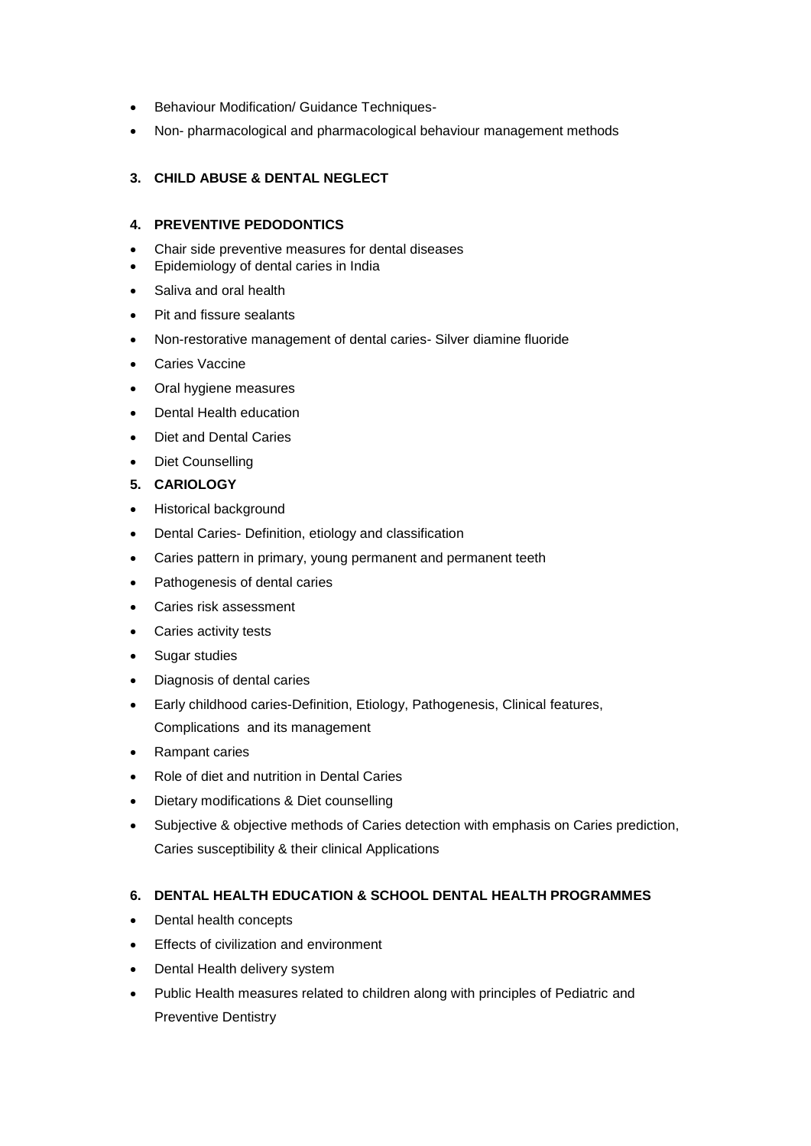- Behaviour Modification/ Guidance Techniques-
- Non- pharmacological and pharmacological behaviour management methods

#### **3. CHILD ABUSE & DENTAL NEGLECT**

#### **4. PREVENTIVE PEDODONTICS**

- Chair side preventive measures for dental diseases
- Epidemiology of dental caries in India
- Saliva and oral health
- Pit and fissure sealants
- Non-restorative management of dental caries- Silver diamine fluoride
- Caries Vaccine
- Oral hygiene measures
- Dental Health education
- Diet and Dental Caries
- Diet Counselling
- **5. CARIOLOGY**
- Historical background
- Dental Caries- Definition, etiology and classification
- Caries pattern in primary, young permanent and permanent teeth
- Pathogenesis of dental caries
- Caries risk assessment
- Caries activity tests
- Sugar studies
- Diagnosis of dental caries
- Early childhood caries-Definition, Etiology, Pathogenesis, Clinical features, Complications and its management
- Rampant caries
- Role of diet and nutrition in Dental Caries
- Dietary modifications & Diet counselling
- Subjective & objective methods of Caries detection with emphasis on Caries prediction, Caries susceptibility & their clinical Applications

### **6. DENTAL HEALTH EDUCATION & SCHOOL DENTAL HEALTH PROGRAMMES**

- Dental health concepts
- **Effects of civilization and environment**
- Dental Health delivery system
- Public Health measures related to children along with principles of Pediatric and Preventive Dentistry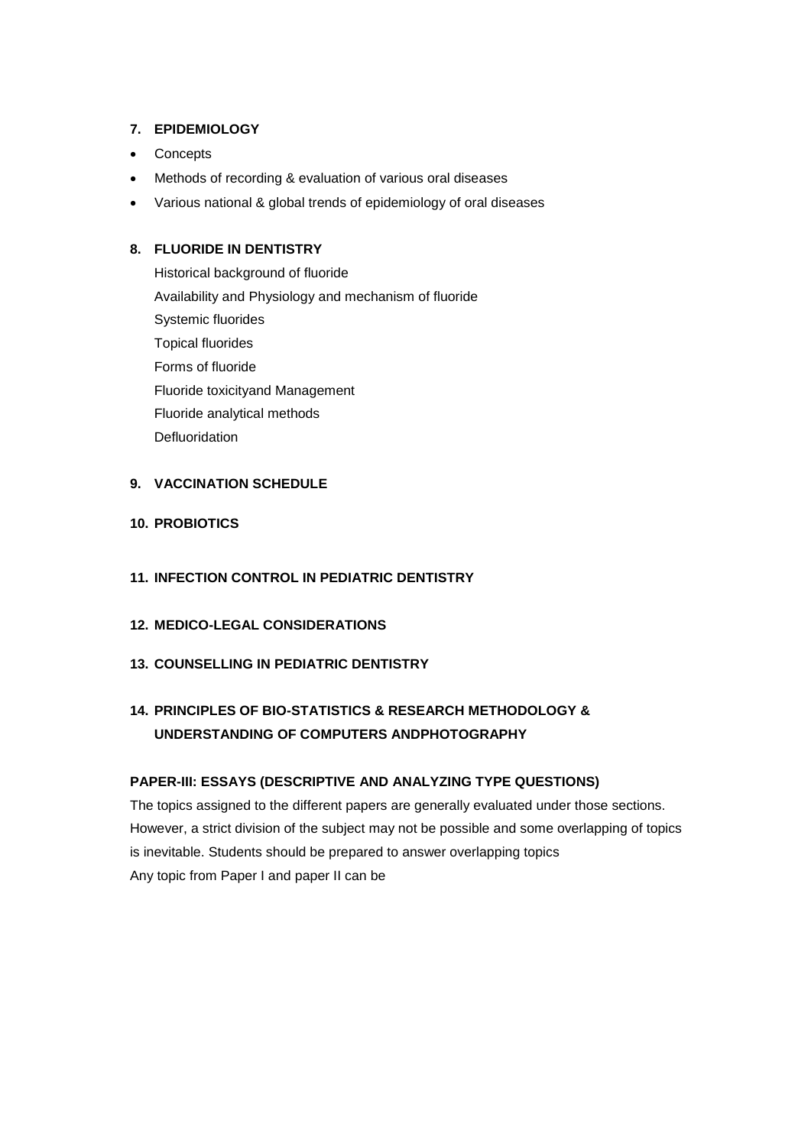### **7. EPIDEMIOLOGY**

- Concepts
- Methods of recording & evaluation of various oral diseases
- Various national & global trends of epidemiology of oral diseases

### **8. FLUORIDE IN DENTISTRY**

Historical background of fluoride Availability and Physiology and mechanism of fluoride Systemic fluorides Topical fluorides Forms of fluoride Fluoride toxicityand Management Fluoride analytical methods **Defluoridation** 

### **9. VACCINATION SCHEDULE**

- **10. PROBIOTICS**
- **11. INFECTION CONTROL IN PEDIATRIC DENTISTRY**
- **12. MEDICO-LEGAL CONSIDERATIONS**
- **13. COUNSELLING IN PEDIATRIC DENTISTRY**

# **14. PRINCIPLES OF BIO-STATISTICS & RESEARCH METHODOLOGY & UNDERSTANDING OF COMPUTERS ANDPHOTOGRAPHY**

### **PAPER-III: ESSAYS (DESCRIPTIVE AND ANALYZING TYPE QUESTIONS)**

The topics assigned to the different papers are generally evaluated under those sections. However, a strict division of the subject may not be possible and some overlapping of topics is inevitable. Students should be prepared to answer overlapping topics Any topic from Paper I and paper II can be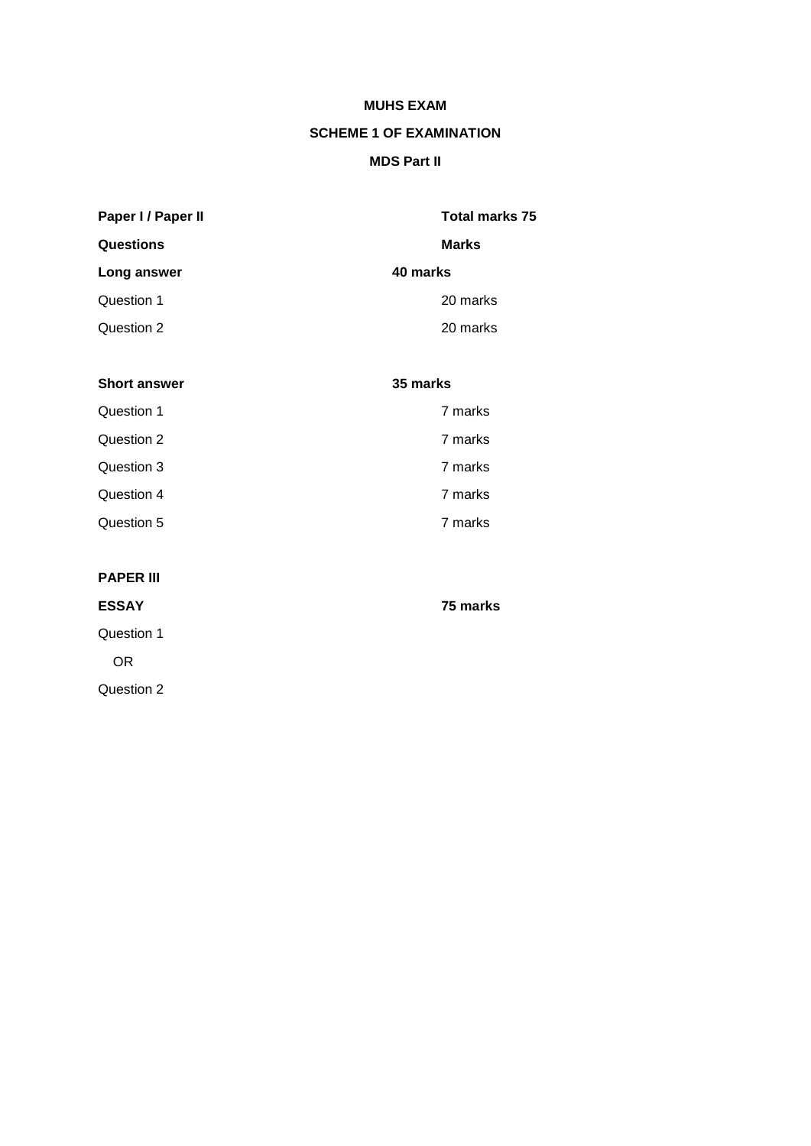# **MUHS EXAM**

### **SCHEME 1 OF EXAMINATION**

### **MDS Part II**

**75 marks** 

| Paper I / Paper II | <b>Total marks 75</b> |
|--------------------|-----------------------|
| Questions          | <b>Marks</b>          |
| Long answer        | 40 marks              |
| Question 1         | 20 marks              |
| Question 2         | 20 marks              |

| <b>Short answer</b> | 35 marks |
|---------------------|----------|
| Question 1          | 7 marks  |
| Question 2          | 7 marks  |
| Question 3          | 7 marks  |
| Question 4          | 7 marks  |
| Question 5          | 7 marks  |

| <b>PAPER III</b> |  |
|------------------|--|
| <b>ESSAY</b>     |  |

Question 1 OR Question 2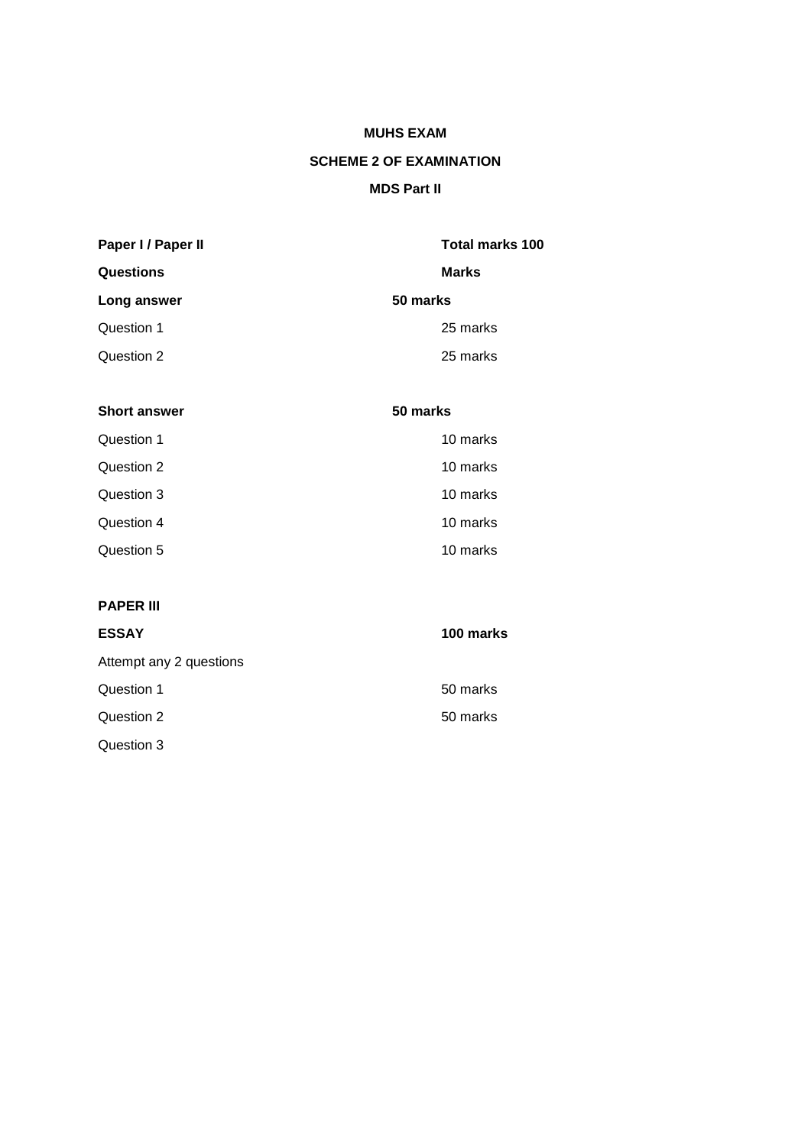# **MUHS EXAM SCHEME 2 OF EXAMINATION MDS Part II**

| <b>Total marks 100</b> |
|------------------------|
| <b>Marks</b>           |
| 50 marks               |
| 25 marks               |
| 25 marks               |
|                        |

| <b>Short answer</b> | 50 marks |
|---------------------|----------|
| Question 1          | 10 marks |
| Question 2          | 10 marks |
| Question 3          | 10 marks |
| Question 4          | 10 marks |
| Question 5          | 10 marks |

### **PAPER III**

| <b>ESSAY</b>            | 100 marks |
|-------------------------|-----------|
| Attempt any 2 questions |           |
| Question 1              | 50 marks  |
| Question 2              | 50 marks  |
| Question 3              |           |